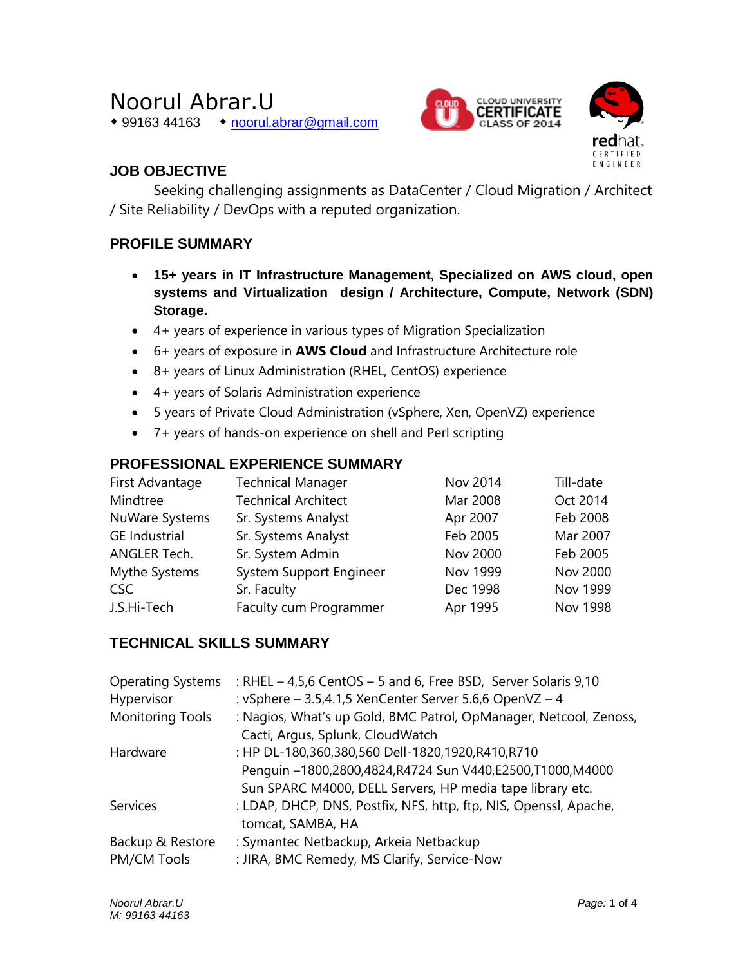# Noorul Abrar.U

◆ 99163 44163 → [noorul.abrar@gmail.com](mailto:noorul.abrar@gmail.com)





# **JOB OBJECTIVE**

Seeking challenging assignments as DataCenter / Cloud Migration / Architect / Site Reliability / DevOps with a reputed organization.

# **PROFILE SUMMARY**

- **15+ years in IT Infrastructure Management, Specialized on AWS cloud, open systems and Virtualization design / Architecture, Compute, Network (SDN) Storage.**
- 4+ years of experience in various types of Migration Specialization
- 6+ years of exposure in **AWS Cloud** and Infrastructure Architecture role
- 8+ years of Linux Administration (RHEL, CentOS) experience
- 4+ years of Solaris Administration experience
- 5 years of Private Cloud Administration (vSphere, Xen, OpenVZ) experience
- 7+ years of hands-on experience on shell and Perl scripting

### **PROFESSIONAL EXPERIENCE SUMMARY**

| First Advantage      | <b>Technical Manager</b>   | Nov 2014 | Till-date       |
|----------------------|----------------------------|----------|-----------------|
| Mindtree             | <b>Technical Architect</b> | Mar 2008 | Oct 2014        |
| NuWare Systems       | Sr. Systems Analyst        | Apr 2007 | Feb 2008        |
| <b>GE</b> Industrial | Sr. Systems Analyst        | Feb 2005 | Mar 2007        |
| ANGLER Tech.         | Sr. System Admin           | Nov 2000 | Feb 2005        |
| Mythe Systems        | System Support Engineer    | Nov 1999 | Nov 2000        |
| CSC                  | Sr. Faculty                | Dec 1998 | Nov 1999        |
| J.S.Hi-Tech          | Faculty cum Programmer     | Apr 1995 | <b>Nov 1998</b> |

# **TECHNICAL SKILLS SUMMARY**

| : RHEL - 4,5,6 CentOS - 5 and 6, Free BSD, Server Solaris 9,10    |
|-------------------------------------------------------------------|
| : vSphere - 3.5,4.1,5 XenCenter Server 5.6,6 OpenVZ - 4           |
| : Nagios, What's up Gold, BMC Patrol, OpManager, Netcool, Zenoss, |
| Cacti, Argus, Splunk, CloudWatch                                  |
| : HP DL-180,360,380,560 Dell-1820,1920,R410,R710                  |
| Penguin -1800,2800,4824,R4724 Sun V440,E2500,T1000,M4000          |
| Sun SPARC M4000, DELL Servers, HP media tape library etc.         |
| : LDAP, DHCP, DNS, Postfix, NFS, http, ftp, NIS, Openssl, Apache, |
| tomcat, SAMBA, HA                                                 |
| : Symantec Netbackup, Arkeia Netbackup                            |
| : JIRA, BMC Remedy, MS Clarify, Service-Now                       |
|                                                                   |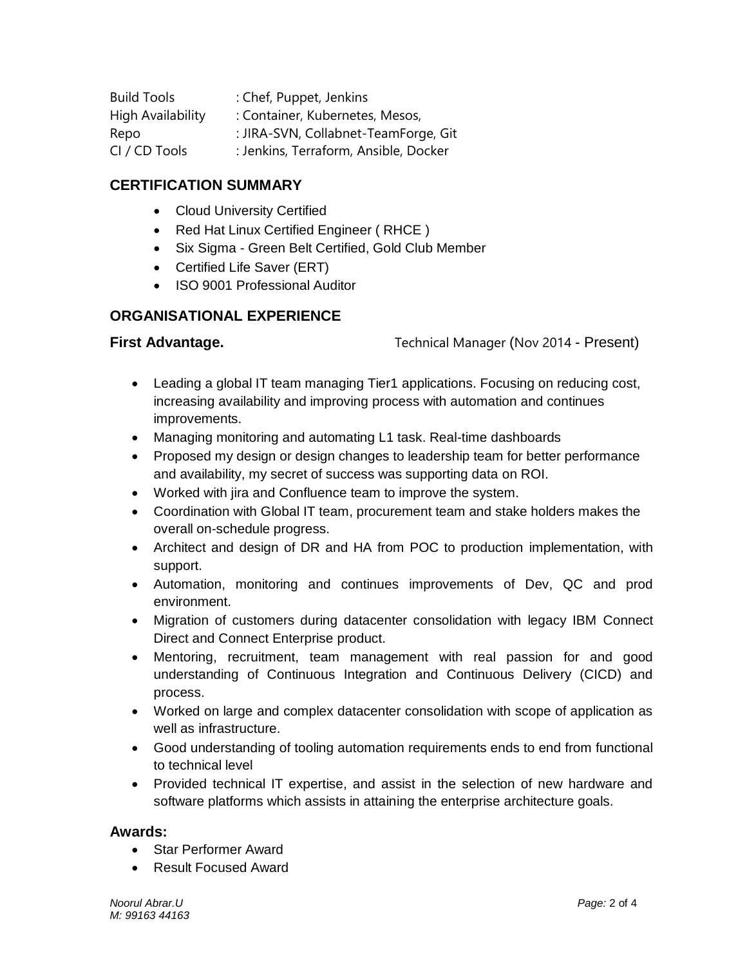| <b>Build Tools</b> | : Chef, Puppet, Jenkins               |
|--------------------|---------------------------------------|
| High Availability  | : Container, Kubernetes, Mesos,       |
| Repo               | : JIRA-SVN, Collabnet-TeamForge, Git  |
| CI / CD Tools      | : Jenkins, Terraform, Ansible, Docker |

#### **CERTIFICATION SUMMARY**

- Cloud University Certified
- Red Hat Linux Certified Engineer (RHCE)
- Six Sigma Green Belt Certified, Gold Club Member
- Certified Life Saver (ERT)
- ISO 9001 Professional Auditor

#### **ORGANISATIONAL EXPERIENCE**

**First Advantage.** Technical Manager (Nov 2014 - Present)

- Leading a global IT team managing Tier1 applications. Focusing on reducing cost, increasing availability and improving process with automation and continues improvements.
- Managing monitoring and automating L1 task. Real-time dashboards
- Proposed my design or design changes to leadership team for better performance and availability, my secret of success was supporting data on ROI.
- Worked with jira and Confluence team to improve the system.
- Coordination with Global IT team, procurement team and stake holders makes the overall on-schedule progress.
- Architect and design of DR and HA from POC to production implementation, with support.
- Automation, monitoring and continues improvements of Dev, QC and prod environment.
- Migration of customers during datacenter consolidation with legacy IBM Connect Direct and Connect Enterprise product.
- Mentoring, recruitment, team management with real passion for and good understanding of Continuous Integration and Continuous Delivery (CICD) and process.
- Worked on large and complex datacenter consolidation with scope of application as well as infrastructure.
- Good understanding of tooling automation requirements ends to end from functional to technical level
- Provided technical IT expertise, and assist in the selection of new hardware and software platforms which assists in attaining the enterprise architecture goals.

#### **Awards:**

- Star Performer Award
- Result Focused Award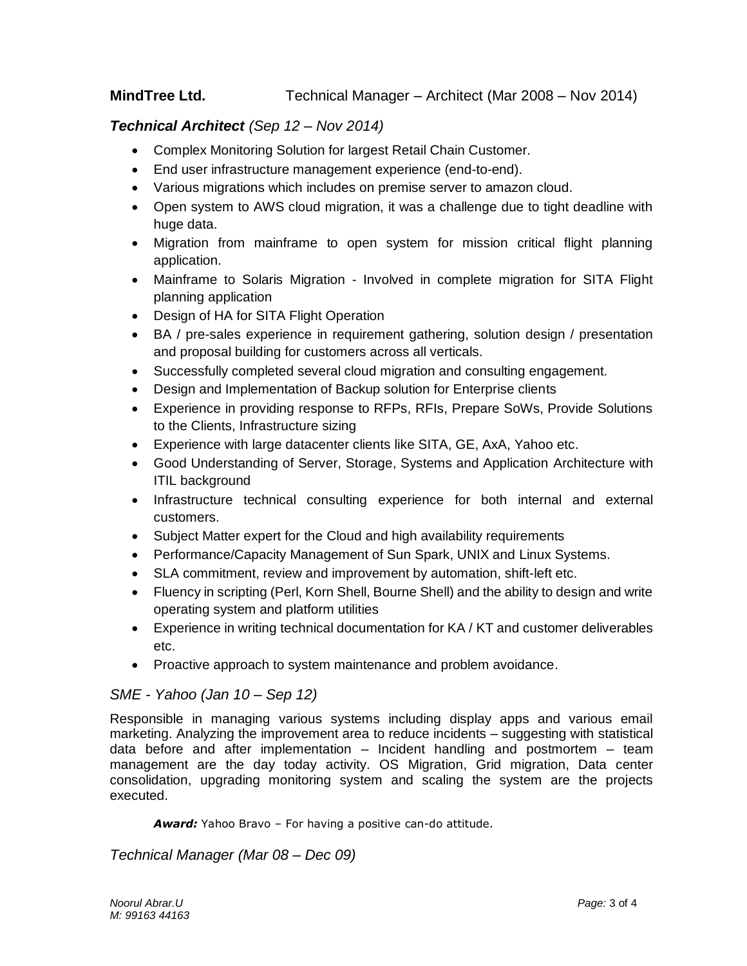#### **MindTree Ltd.** Technical Manager – Architect (Mar 2008 – Nov 2014)

#### *Technical Architect (Sep 12 – Nov 2014)*

- Complex Monitoring Solution for largest Retail Chain Customer.
- End user infrastructure management experience (end-to-end).
- Various migrations which includes on premise server to amazon cloud.
- Open system to AWS cloud migration, it was a challenge due to tight deadline with huge data.
- Migration from mainframe to open system for mission critical flight planning application.
- Mainframe to Solaris Migration Involved in complete migration for SITA Flight planning application
- Design of HA for SITA Flight Operation
- BA / pre-sales experience in requirement gathering, solution design / presentation and proposal building for customers across all verticals.
- Successfully completed several cloud migration and consulting engagement.
- Design and Implementation of Backup solution for Enterprise clients
- Experience in providing response to RFPs, RFIs, Prepare SoWs, Provide Solutions to the Clients, Infrastructure sizing
- Experience with large datacenter clients like SITA, GE, AxA, Yahoo etc.
- Good Understanding of Server, Storage, Systems and Application Architecture with ITIL background
- Infrastructure technical consulting experience for both internal and external customers.
- Subject Matter expert for the Cloud and high availability requirements
- Performance/Capacity Management of Sun Spark, UNIX and Linux Systems.
- SLA commitment, review and improvement by automation, shift-left etc.
- Fluency in scripting (Perl, Korn Shell, Bourne Shell) and the ability to design and write operating system and platform utilities
- Experience in writing technical documentation for KA / KT and customer deliverables etc.
- Proactive approach to system maintenance and problem avoidance.

#### *SME - Yahoo (Jan 10 – Sep 12)*

Responsible in managing various systems including display apps and various email marketing. Analyzing the improvement area to reduce incidents – suggesting with statistical data before and after implementation – Incident handling and postmortem – team management are the day today activity. OS Migration, Grid migration, Data center consolidation, upgrading monitoring system and scaling the system are the projects executed.

*Award:* Yahoo Bravo – For having a positive can-do attitude.

*Technical Manager (Mar 08 – Dec 09)*